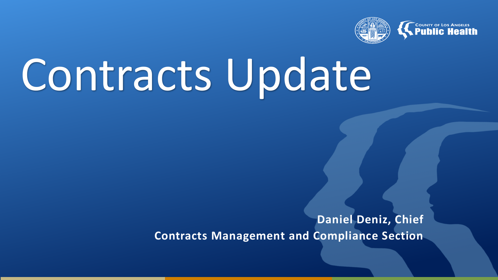

# Contracts Update

**Daniel Deniz, Chief Contracts Management and Compliance Section**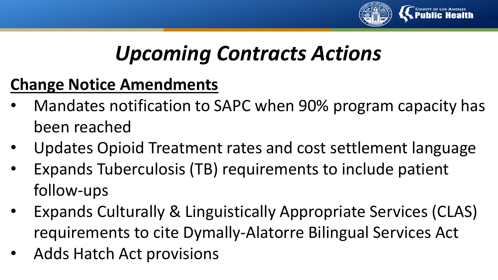

#### **Change Notice Amendments**

- Mandates notification to SAPC when 90% program capacity has been reached
- Updates Opioid Treatment rates and cost settlement language
- Expands Tuberculosis (TB) requirements to include patient follow-ups
- Expands Culturally & Linguistically Appropriate Services (CLAS) requirements to cite Dymally-Alatorre Bilingual Services Act
- Adds Hatch Act provisions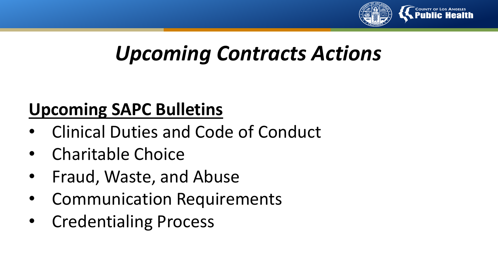

#### **Upcoming SAPC Bulletins**

- Clinical Duties and Code of Conduct
- Charitable Choice
- Fraud, Waste, and Abuse
- Communication Requirements
- Credentialing Process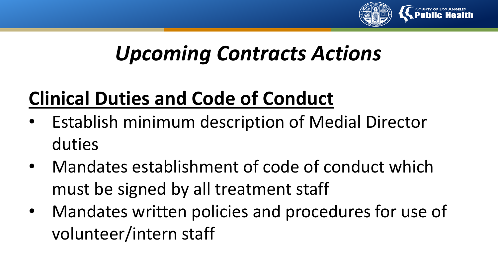

## **Clinical Duties and Code of Conduct**

- Establish minimum description of Medial Director duties
- Mandates establishment of code of conduct which must be signed by all treatment staff
- Mandates written policies and procedures for use of volunteer/intern staff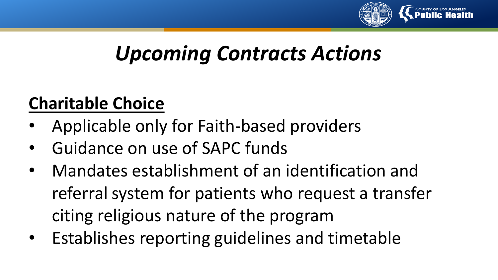

#### **Charitable Choice**

- Applicable only for Faith-based providers
- Guidance on use of SAPC funds
- Mandates establishment of an identification and referral system for patients who request a transfer citing religious nature of the program
- Establishes reporting guidelines and timetable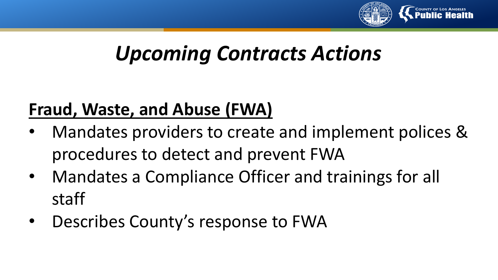

#### **Fraud, Waste, and Abuse (FWA)**

- Mandates providers to create and implement polices & procedures to detect and prevent FWA
- Mandates a Compliance Officer and trainings for all staff
- Describes County's response to FWA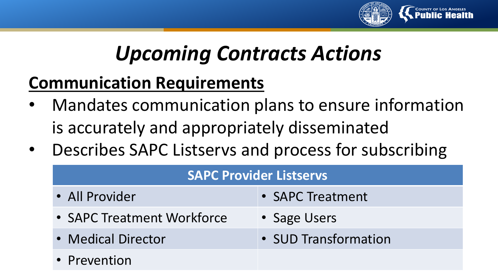

#### **Communication Requirements**

- Mandates communication plans to ensure information is accurately and appropriately disseminated
- Describes SAPC Listservs and process for subscribing

| <b>SAPC Provider Listservs</b> |                      |
|--------------------------------|----------------------|
| • All Provider                 | • SAPC Treatment     |
| • SAPC Treatment Workforce     | • Sage Users         |
| • Medical Director             | • SUD Transformation |
| • Prevention                   |                      |